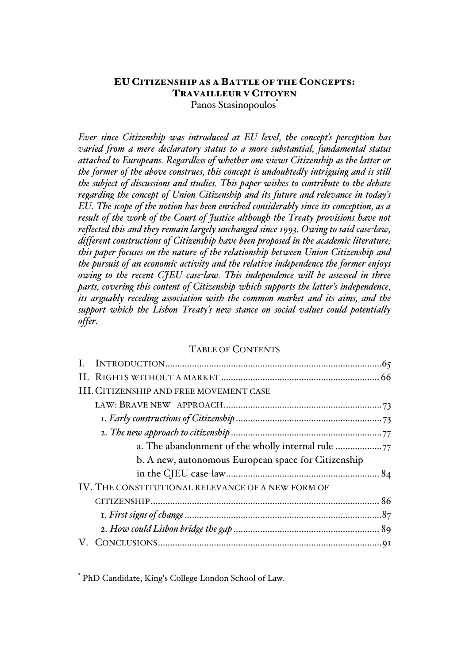# Panos Stasinopoulos EU CITIZENSHIP AS A BATTLE OF THE CONCEPTS: TRAVAILLEUR V CITOYEN

*Ever since Citizenship was introduced at EU level, the concept's perception has varied from a mere declaratory status to a more substantial, fundamental status attached to Europeans. Regardless of whether one views Citizenship as the latter or the former of the above construes, this concept is undoubtedly intriguing and is still the subject of discussions and studies. This paper wishes to contribute to the debate regarding the concept of Union Citizenship and its future and relevance in today's EU. The scope of the notion has been enriched considerably since its conception, as a result of the work of the Court of Justice although the Treaty provisions have not reflected this and they remain largely unchanged since 1993. Owing to said case-law, different constructions of Citizenship have been proposed in the academic literature; this paper focuses on the nature of the relationship between Union Citizenship and the pursuit of an economic activity and the relative independence the former enjoys owing to the recent CJEU case-law. This independence will be assessed in three parts, covering this content of Citizenship which supports the latter's independence, its arguably receding association with the common market and its aims, and the support which the Lisbon Treaty's new stance on social values could potentially offer.*

## TABLE OF CONTENTS

| <b>III. CITIZENSHIP AND FREE MOVEMENT CASE</b>      |  |
|-----------------------------------------------------|--|
|                                                     |  |
|                                                     |  |
|                                                     |  |
| a. The abandonment of the wholly internal rule      |  |
| b. A new, autonomous European space for Citizenship |  |
|                                                     |  |
| IV. THE CONSTITUTIONAL RELEVANCE OF A NEW FORM OF   |  |
|                                                     |  |
|                                                     |  |
|                                                     |  |
|                                                     |  |
|                                                     |  |

 <sup>\*</sup> PhD Candidate, King's College London School of Law.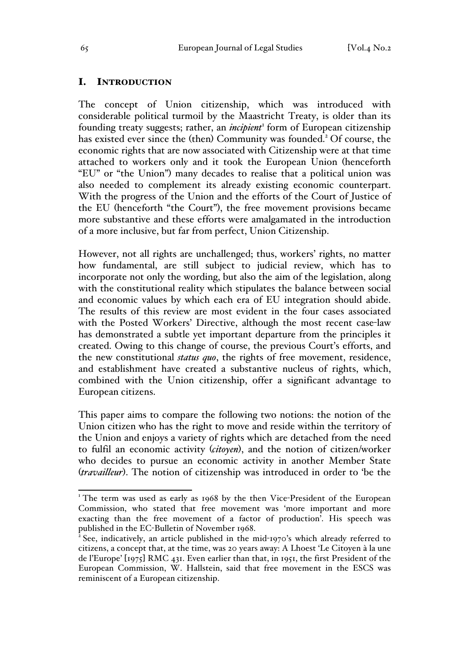### I. INTRODUCTION

The concept of Union citizenship, which was introduced with considerable political turmoil by the Maastricht Treaty, is older than its founding treaty suggests; rather, an *incipient*<sup>1</sup> form of European citizenship has existed ever since the (then) Community was founded.<sup>2</sup> Of course, the economic rights that are now associated with Citizenship were at that time attached to workers only and it took the European Union (henceforth "EU" or "the Union") many decades to realise that a political union was also needed to complement its already existing economic counterpart. With the progress of the Union and the efforts of the Court of Justice of the EU (henceforth "the Court"), the free movement provisions became more substantive and these efforts were amalgamated in the introduction of a more inclusive, but far from perfect, Union Citizenship.

However, not all rights are unchallenged; thus, workers' rights, no matter how fundamental, are still subject to judicial review, which has to incorporate not only the wording, but also the aim of the legislation, along with the constitutional reality which stipulates the balance between social and economic values by which each era of EU integration should abide. The results of this review are most evident in the four cases associated with the Posted Workers' Directive, although the most recent case-law has demonstrated a subtle yet important departure from the principles it created. Owing to this change of course, the previous Court's efforts, and the new constitutional *status quo*, the rights of free movement, residence, and establishment have created a substantive nucleus of rights, which, combined with the Union citizenship, offer a significant advantage to European citizens.

This paper aims to compare the following two notions: the notion of the Union citizen who has the right to move and reside within the territory of the Union and enjoys a variety of rights which are detached from the need to fulfil an economic activity (*citoyen*), and the notion of citizen/worker who decides to pursue an economic activity in another Member State (*travailleur*). The notion of citizenship was introduced in order to 'be the

<sup>&</sup>lt;sup>1</sup> The term was used as early as 1968 by the then Vice-President of the European Commission, who stated that free movement was 'more important and more exacting than the free movement of a factor of production'. His speech was published in the EC-Bulletin of November 1968.<br><sup>2</sup> See, indicatively, an article published in the mid-1970's which already referred to

citizens, a concept that, at the time, was 20 years away: A Lhoest 'Le Citoyen à la une de l'Europe' [1975] RMC 431. Even earlier than that, in 1951, the first President of the European Commission, W. Hallstein, said that free movement in the ESCS was reminiscent of a European citizenship.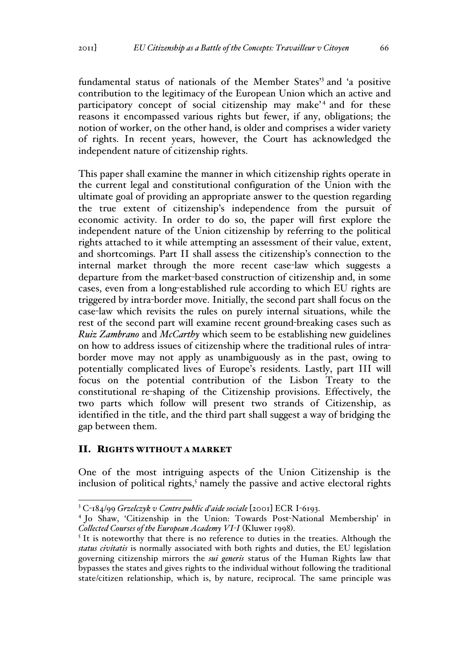fundamental status of nationals of the Member States'<sup>3</sup> and 'a positive contribution to the legitimacy of the European Union which an active and participatory concept of social citizenship may make<sup>'4</sup> and for these reasons it encompassed various rights but fewer, if any, obligations; the notion of worker, on the other hand, is older and comprises a wider variety of rights. In recent years, however, the Court has acknowledged the independent nature of citizenship rights.

This paper shall examine the manner in which citizenship rights operate in the current legal and constitutional configuration of the Union with the ultimate goal of providing an appropriate answer to the question regarding the true extent of citizenship's independence from the pursuit of economic activity. In order to do so, the paper will first explore the independent nature of the Union citizenship by referring to the political rights attached to it while attempting an assessment of their value, extent, and shortcomings. Part II shall assess the citizenship's connection to the internal market through the more recent case-law which suggests a departure from the market-based construction of citizenship and, in some cases, even from a long-established rule according to which EU rights are triggered by intra-border move. Initially, the second part shall focus on the case-law which revisits the rules on purely internal situations, while the rest of the second part will examine recent ground-breaking cases such as *Ruiz Zambrano* and *McCarthy* which seem to be establishing new guidelines on how to address issues of citizenship where the traditional rules of intraborder move may not apply as unambiguously as in the past, owing to potentially complicated lives of Europe's residents. Lastly, part III will focus on the potential contribution of the Lisbon Treaty to the constitutional re-shaping of the Citizenship provisions. Effectively, the two parts which follow will present two strands of Citizenship, as identified in the title, and the third part shall suggest a way of bridging the gap between them.

### II. RIGHTS WITHOUT A MARKET

One of the most intriguing aspects of the Union Citizenship is the inclusion of political rights, $5$  namely the passive and active electoral rights

 <sup>3</sup> <sup>C</sup>-184/99 *Grzelczyk v Centre public d'aide sociale* [2001] ECR I-6193.

<sup>4</sup> Jo Shaw, 'Citizenship in the Union: Towards Post-National Membership' in *Collected Courses of the European Academy VI<sup>-</sup>I* (Kluwer 1998).<br><sup>5</sup> It is noteworthy that there is no reference to duties in the treaties. Although the

*status civitatis* is normally associated with both rights and duties, the EU legislation governing citizenship mirrors the *sui generis* status of the Human Rights law that bypasses the states and gives rights to the individual without following the traditional state/citizen relationship, which is, by nature, reciprocal. The same principle was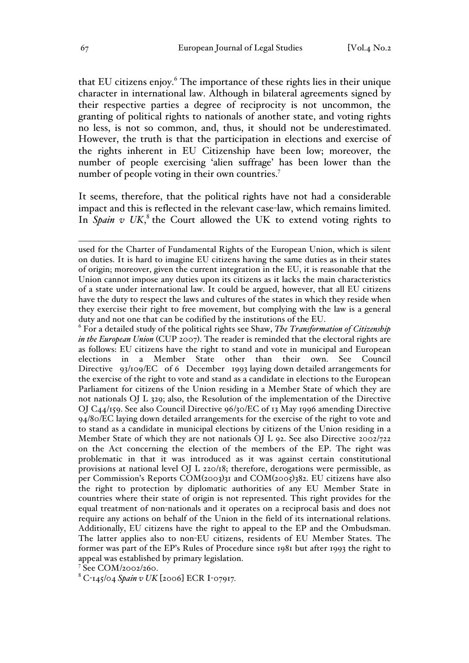that EU citizens enjoy.<sup>6</sup> The importance of these rights lies in their unique character in international law. Although in bilateral agreements signed by their respective parties a degree of reciprocity is not uncommon, the granting of political rights to nationals of another state, and voting rights no less, is not so common, and, thus, it should not be underestimated. However, the truth is that the participation in elections and exercise of the rights inherent in EU Citizenship have been low; moreover, the number of people exercising 'alien suffrage' has been lower than the number of people voting in their own countries.<sup>7</sup>

It seems, therefore, that the political rights have not had a considerable impact and this is reflected in the relevant case-law, which remains limited. In *Spain v UK*,<sup>8</sup> the Court allowed the UK to extend voting rights to

<sup>6</sup> For a detailed study of the political rights see Shaw, *The Transformation of Citizenship in the European Union* (CUP 2007). The reader is reminded that the electoral rights are as follows: EU citizens have the right to stand and vote in municipal and European<br>elections in a Member State other than their own. See Council elections in a Member State other than their own. See Directive 93/109/EC of 6 December 1993 laying down detailed arrangements for the exercise of the right to vote and stand as a candidate in elections to the European Parliament for citizens of the Union residing in a Member State of which they are not nationals OJ L 329; also, the Resolution of the implementation of the Directive OJ C44/159. See also Council Directive 96/30/EC of 13 May 1996 amending Directive 94/80/EC laying down detailed arrangements for the exercise of the right to vote and to stand as a candidate in municipal elections by citizens of the Union residing in a Member State of which they are not nationals OJ L 92. See also Directive 2002/722 on the Act concerning the election of the members of the EP. The right was problematic in that it was introduced as it was against certain constitutional provisions at national level OJ L 220/18; therefore, derogations were permissible, as per Commission's Reports  $COM(2003)$ 31 and  $COM(2005)$ 382. EU citizens have also the right to protection by diplomatic authorities of any EU Member State in countries where their state of origin is not represented. This right provides for the equal treatment of non-nationals and it operates on a reciprocal basis and does not require any actions on behalf of the Union in the field of its international relations. Additionally, EU citizens have the right to appeal to the EP and the Ombudsman. The latter applies also to non-EU citizens, residents of EU Member States. The former was part of the EP's Rules of Procedure since 1981 but after 1993 the right to appeal was established by primary legislation.

<sup>8</sup> C-145/04 *Spain v UK* [2006] ECR I-07917*.*

used for the Charter of Fundamental Rights of the European Union, which is silent on duties. It is hard to imagine EU citizens having the same duties as in their states of origin; moreover, given the current integration in the EU, it is reasonable that the Union cannot impose any duties upon its citizens as it lacks the main characteristics of a state under international law. It could be argued, however, that all EU citizens have the duty to respect the laws and cultures of the states in which they reside when they exercise their right to free movement, but complying with the law is a general duty and not one that can be codified by the institutions of the EU.

<sup>7</sup> See COM/2002/260.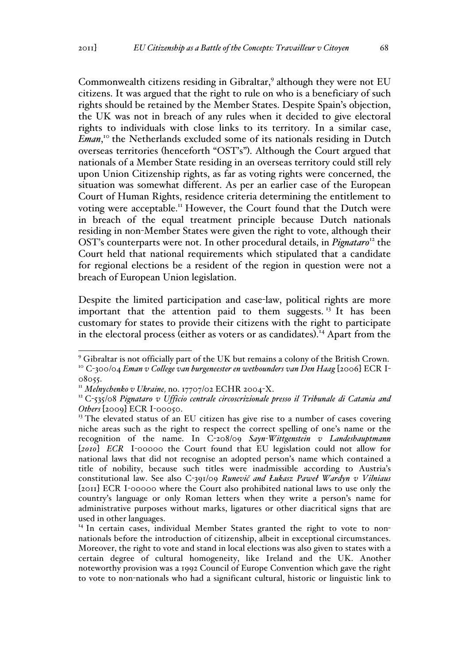Commonwealth citizens residing in Gibraltar,<sup>9</sup> although they were not EU citizens. It was argued that the right to rule on who is a beneficiary of such rights should be retained by the Member States. Despite Spain's objection, the UK was not in breach of any rules when it decided to give electoral rights to individuals with close links to its territory. In a similar case, Eman,<sup>10</sup> the Netherlands excluded some of its nationals residing in Dutch overseas territories (henceforth "OST's"). Although the Court argued that nationals of a Member State residing in an overseas territory could still rely upon Union Citizenship rights, as far as voting rights were concerned, the situation was somewhat different. As per an earlier case of the European Court of Human Rights, residence criteria determining the entitlement to voting were acceptable.<sup>11</sup> However, the Court found that the Dutch were in breach of the equal treatment principle because Dutch nationals residing in non-Member States were given the right to vote, although their OST's counterparts were not. In other procedural details, in *Pignataro*<sup>12</sup> the Court held that national requirements which stipulated that a candidate for regional elections be a resident of the region in question were not a breach of European Union legislation.

Despite the limited participation and case-law, political rights are more important that the attention paid to them suggests.<sup>13</sup> It has been customary for states to provide their citizens with the right to participate in the electoral process (either as voters or as candidates). <sup>14</sup> Apart from the

<sup>&</sup>lt;sup>9</sup> Gibraltar is not officially part of the UK but remains a colony of the British Crown.<br><sup>10</sup> C-300/04 *Eman v College van burgeneester en wethounders van Den Haag* [2006] ECR I-

<sup>08055.&</sup>lt;br>"*Melnychenko v Ukraine,* no. 17707/02 ECHR 2004-X.

<sup>&</sup>lt;sup>12</sup> C-535/08 Pignataro v Ufficio centrale circoscrizionale presso il Tribunale di Catania and *Others* [2009] ECR I-00050.

<sup>&</sup>lt;sup>13</sup> The elevated status of an EU citizen has give rise to a number of cases covering niche areas such as the right to respect the correct spelling of one's name or the recognition of the name. In C-208/09 *Sayn-Wittgenstein v Landeshauptmann*  [*2010*] *ECR* I-00000 the Court found that EU legislation could not allow for national laws that did not recognise an adopted person's name which contained a title of nobility, because such titles were inadmissible according to Austria's constitutional law. See also C-391/09 *Runevič and Łukasz Paweł Wardyn v Vilniaus*  [2011] ECR I-00000 where the Court also prohibited national laws to use only the country's language or only Roman letters when they write a person's name for administrative purposes without marks, ligatures or other diacritical signs that are used in other languages.

<sup>&</sup>lt;sup>14</sup> In certain cases, individual Member States granted the right to vote to nonnationals before the introduction of citizenship, albeit in exceptional circumstances. Moreover, the right to vote and stand in local elections was also given to states with a certain degree of cultural homogeneity, like Ireland and the UK. Another noteworthy provision was a 1992 Council of Europe Convention which gave the right to vote to non-nationals who had a significant cultural, historic or linguistic link to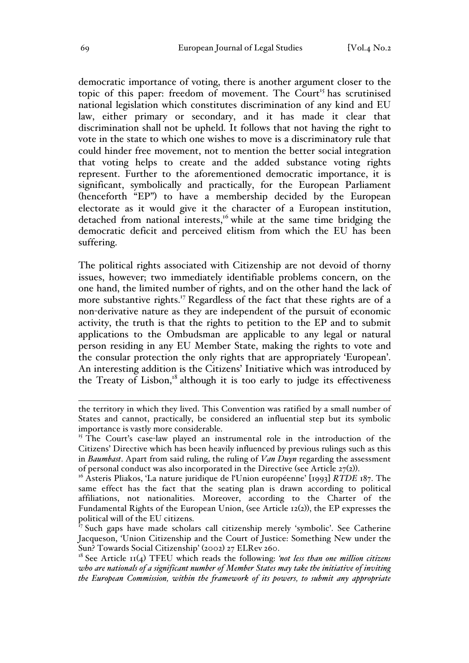democratic importance of voting, there is another argument closer to the topic of this paper: freedom of movement. The  $C$ ourt<sup>15</sup> has scrutinised national legislation which constitutes discrimination of any kind and EU law, either primary or secondary, and it has made it clear that discrimination shall not be upheld. It follows that not having the right to vote in the state to which one wishes to move is a discriminatory rule that could hinder free movement, not to mention the better social integration that voting helps to create and the added substance voting rights represent. Further to the aforementioned democratic importance, it is significant, symbolically and practically, for the European Parliament (henceforth "EP") to have a membership decided by the European electorate as it would give it the character of a European institution, detached from national interests,<sup>16</sup> while at the same time bridging the democratic deficit and perceived elitism from which the EU has been suffering.

The political rights associated with Citizenship are not devoid of thorny issues, however; two immediately identifiable problems concern, on the one hand, the limited number of rights, and on the other hand the lack of more substantive rights.<sup>17</sup> Regardless of the fact that these rights are of a non-derivative nature as they are independent of the pursuit of economic activity, the truth is that the rights to petition to the EP and to submit applications to the Ombudsman are applicable to any legal or natural person residing in any EU Member State, making the rights to vote and the consular protection the only rights that are appropriately 'European'. An interesting addition is the Citizens' Initiative which was introduced by the Treaty of Lisbon,<sup>18</sup> although it is too early to judge its effectiveness

the territory in which they lived. This Convention was ratified by a small number of States and cannot, practically, be considered an influential step but its symbolic importance is vastly more considerable.

<sup>&</sup>lt;sup>15</sup> The Court's case-law played an instrumental role in the introduction of the Citizens' Directive which has been heavily influenced by previous rulings such as this in *Baumbast*. Apart from said ruling, the ruling of *Van Duyn* regarding the assessment of personal conduct was also incorporated in the Directive (see Article 27(2)). <sup>16</sup> Asteris Pliakos, 'La nature juridique de l'Union européenne' [1993] *RTDE* 187. The

same effect has the fact that the seating plan is drawn according to political affiliations, not nationalities. Moreover, according to the Charter of the Fundamental Rights of the European Union, (see Article 12(2)), the EP expresses the political will of the EU citizens.

 $17$  Such gaps have made scholars call citizenship merely 'symbolic'. See Catherine Jacqueson, 'Union Citizenship and the Court of Justice: Something New under the Sun? Towards Social Citizenship' (2002) 27 ELRev 260.

<sup>18</sup> See Article 11(4) TFEU which reads the following: *'not less than one million citizens who are nationals of a significant number of Member States may take the initiative of inviting the European Commission, within the framework of its powers, to submit any appropriate*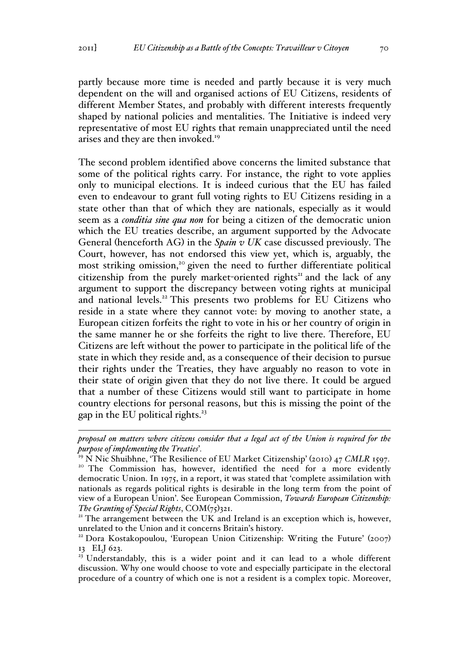partly because more time is needed and partly because it is very much dependent on the will and organised actions of EU Citizens, residents of different Member States, and probably with different interests frequently shaped by national policies and mentalities. The Initiative is indeed very representative of most EU rights that remain unappreciated until the need arises and they are then invoked.<sup>19</sup>

The second problem identified above concerns the limited substance that some of the political rights carry. For instance, the right to vote applies only to municipal elections. It is indeed curious that the EU has failed even to endeavour to grant full voting rights to EU Citizens residing in a state other than that of which they are nationals, especially as it would seem as a *conditia sine qua non* for being a citizen of the democratic union which the EU treaties describe, an argument supported by the Advocate General (henceforth AG) in the *Spain v UK* case discussed previously. The Court, however, has not endorsed this view yet, which is, arguably, the most striking omission,<sup>20</sup> given the need to further differentiate political citizenship from the purely market-oriented rights<sup>21</sup> and the lack of any argument to support the discrepancy between voting rights at municipal and national levels.<sup>22</sup> This presents two problems for EU Citizens who reside in a state where they cannot vote: by moving to another state, a European citizen forfeits the right to vote in his or her country of origin in the same manner he or she forfeits the right to live there. Therefore, EU Citizens are left without the power to participate in the political life of the state in which they reside and, as a consequence of their decision to pursue their rights under the Treaties, they have arguably no reason to vote in their state of origin given that they do not live there. It could be argued that a number of these Citizens would still want to participate in home country elections for personal reasons, but this is missing the point of the gap in the EU political rights.<sup>23</sup>

<sup>&</sup>lt;u>.</u> *proposal on matters where citizens consider that a legal act of the Union is required for the* 

*purpose of implementing the Treaties'*.<br><sup>19</sup> N Nic Shuibhne, 'The Resilience of EU Market Citizenship' (2010) 47 *CMLR* 1597.<br><sup>20</sup> The Commission has, however, identified the need for a more evidently democratic Union. In 1975, in a report, it was stated that 'complete assimilation with nationals as regards political rights is desirable in the long term from the point of view of a European Union'. See European Commission, *Towards European Citizenship: The Granting of Special Rights*, COM(75)321.<br><sup>21</sup> The arrangement between the UK and Ireland is an exception which is, however,

unrelated to the Union and it concerns Britain's history.

<sup>&</sup>lt;sup>22</sup> Dora Kostakopoulou, 'European Union Citizenship: Writing the Future' (2007) 13 ELJ 623.

 $23$  Understandably, this is a wider point and it can lead to a whole different discussion. Why one would choose to vote and especially participate in the electoral procedure of a country of which one is not a resident is a complex topic. Moreover,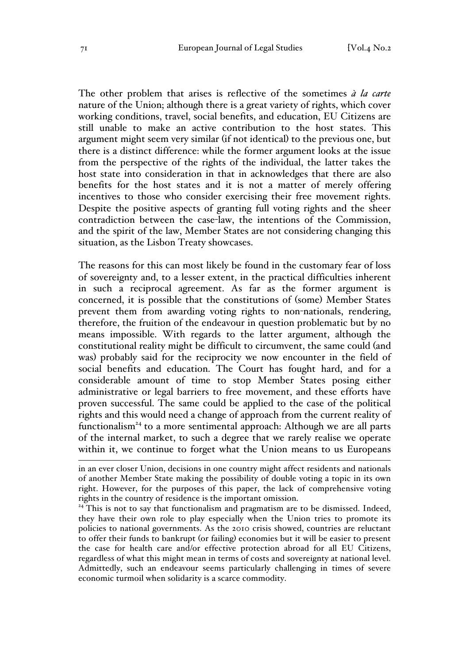The other problem that arises is reflective of the sometimes *à la carte* nature of the Union; although there is a great variety of rights, which cover working conditions, travel, social benefits, and education, EU Citizens are still unable to make an active contribution to the host states. This argument might seem very similar (if not identical) to the previous one, but there is a distinct difference: while the former argument looks at the issue from the perspective of the rights of the individual, the latter takes the host state into consideration in that in acknowledges that there are also benefits for the host states and it is not a matter of merely offering incentives to those who consider exercising their free movement rights. Despite the positive aspects of granting full voting rights and the sheer contradiction between the case-law, the intentions of the Commission, and the spirit of the law, Member States are not considering changing this situation, as the Lisbon Treaty showcases.

The reasons for this can most likely be found in the customary fear of loss of sovereignty and, to a lesser extent, in the practical difficulties inherent in such a reciprocal agreement. As far as the former argument is concerned, it is possible that the constitutions of (some) Member States prevent them from awarding voting rights to non-nationals, rendering, therefore, the fruition of the endeavour in question problematic but by no means impossible. With regards to the latter argument, although the constitutional reality might be difficult to circumvent, the same could (and was) probably said for the reciprocity we now encounter in the field of social benefits and education. The Court has fought hard, and for a considerable amount of time to stop Member States posing either administrative or legal barriers to free movement, and these efforts have proven successful. The same could be applied to the case of the political rights and this would need a change of approach from the current reality of functionalism<sup>24</sup> to a more sentimental approach: Although we are all parts of the internal market, to such a degree that we rarely realise we operate within it, we continue to forget what the Union means to us Europeans

<sup>24</sup> This is not to say that functionalism and pragmatism are to be dismissed. Indeed, they have their own role to play especially when the Union tries to promote its policies to national governments. As the 2010 crisis showed, countries are reluctant to offer their funds to bankrupt (or failing) economies but it will be easier to present the case for health care and/or effective protection abroad for all EU Citizens, regardless of what this might mean in terms of costs and sovereignty at national level. Admittedly, such an endeavour seems particularly challenging in times of severe economic turmoil when solidarity is a scarce commodity.

in an ever closer Union, decisions in one country might affect residents and nationals of another Member State making the possibility of double voting a topic in its own right. However, for the purposes of this paper, the lack of comprehensive voting rights in the country of residence is the important omission.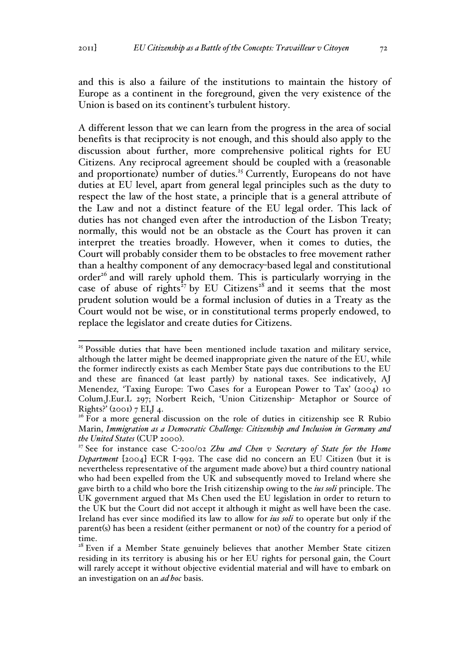and this is also a failure of the institutions to maintain the history of Europe as a continent in the foreground, given the very existence of the Union is based on its continent's turbulent history.

A different lesson that we can learn from the progress in the area of social benefits is that reciprocity is not enough, and this should also apply to the discussion about further, more comprehensive political rights for EU Citizens. Any reciprocal agreement should be coupled with a (reasonable and proportionate) number of duties.<sup>25</sup> Currently, Europeans do not have duties at EU level, apart from general legal principles such as the duty to respect the law of the host state, a principle that is a general attribute of the Law and not a distinct feature of the EU legal order. This lack of duties has not changed even after the introduction of the Lisbon Treaty; normally, this would not be an obstacle as the Court has proven it can interpret the treaties broadly. However, when it comes to duties, the Court will probably consider them to be obstacles to free movement rather than a healthy component of any democracy-based legal and constitutional order<sup>26</sup> and will rarely uphold them. This is particularly worrying in the case of abuse of rights<sup> $27$ </sup> by EU Citizens<sup>28</sup> and it seems that the most prudent solution would be a formal inclusion of duties in a Treaty as the Court would not be wise, or in constitutional terms properly endowed, to replace the legislator and create duties for Citizens.

<sup>&</sup>lt;sup>25</sup> Possible duties that have been mentioned include taxation and military service, although the latter might be deemed inappropriate given the nature of the EU, while the former indirectly exists as each Member State pays due contributions to the EU and these are financed (at least partly) by national taxes. See indicatively, AJ Menendez*,* 'Taxing Europe: Two Cases for a European Power to Tax' (2004) 10 Colum.J.Eur.L 297; Norbert Reich, 'Union Citizenship- Metaphor or Source of Rights?' (2001) 7 ELJ 4.

 $26$  For a more general discussion on the role of duties in citizenship see R Rubio Marin, *Immigration as a Democratic Challenge: Citizenship and Inclusion in Germany and the United States* (CUP 2000).<br><sup>27</sup> See for instance case C-200/02 *Zhu and Chen v Secretary of State for the Home* 

*Department* [2004] ECR I-992. The case did no concern an EU Citizen (but it is nevertheless representative of the argument made above) but a third country national who had been expelled from the UK and subsequently moved to Ireland where she gave birth to a child who bore the Irish citizenship owing to the *ius soli* principle. The UK government argued that Ms Chen used the EU legislation in order to return to the UK but the Court did not accept it although it might as well have been the case. Ireland has ever since modified its law to allow for *ius soli* to operate but only if the parent(s) has been a resident (either permanent or not) of the country for a period of time.

<sup>&</sup>lt;sup>28</sup> Even if a Member State genuinely believes that another Member State citizen residing in its territory is abusing his or her EU rights for personal gain, the Court will rarely accept it without objective evidential material and will have to embark on an investigation on an *ad hoc* basis.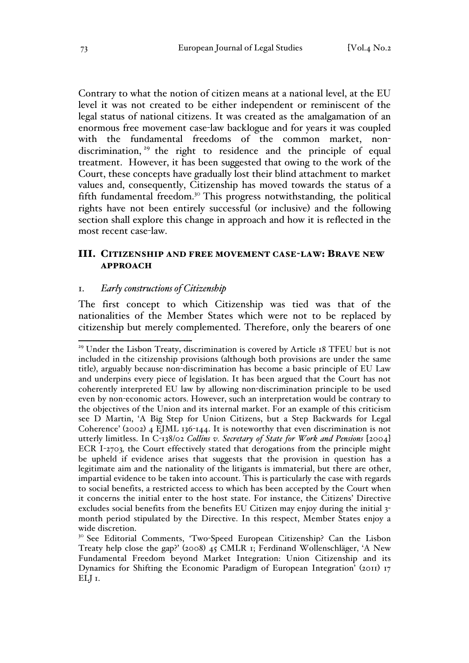Contrary to what the notion of citizen means at a national level, at the EU level it was not created to be either independent or reminiscent of the legal status of national citizens. It was created as the amalgamation of an enormous free movement case-law backlogue and for years it was coupled with the fundamental freedoms of the common market, nondiscrimination, <sup>29</sup> the right to residence and the principle of equal treatment. However, it has been suggested that owing to the work of the Court, these concepts have gradually lost their blind attachment to market values and, consequently, Citizenship has moved towards the status of a fifth fundamental freedom.<sup>30</sup> This progress notwithstanding, the political rights have not been entirely successful (or inclusive) and the following section shall explore this change in approach and how it is reflected in the most recent case-law.

# III. CITIZENSHIP AND FREE MOVEMENT CASE-LAW: BRAVE NEW APPROACH

## 1. *Early constructions of Citizenship*

The first concept to which Citizenship was tied was that of the nationalities of the Member States which were not to be replaced by citizenship but merely complemented. Therefore, only the bearers of one

<sup>&</sup>lt;sup>29</sup> Under the Lisbon Treaty, discrimination is covered by Article 18 TFEU but is not included in the citizenship provisions (although both provisions are under the same title), arguably because non-discrimination has become a basic principle of EU Law and underpins every piece of legislation. It has been argued that the Court has not coherently interpreted EU law by allowing non-discrimination principle to be used even by non-economic actors. However, such an interpretation would be contrary to the objectives of the Union and its internal market. For an example of this criticism see D Martin, 'A Big Step for Union Citizens, but a Step Backwards for Legal Coherence' (2002) 4 EJML 136-144. It is noteworthy that even discrimination is not utterly limitless. In C-138/02 *Collins v. Secretary of State for Work and Pensions* [2004] ECR I-2703*,* the Court effectively stated that derogations from the principle might be upheld if evidence arises that suggests that the provision in question has a legitimate aim and the nationality of the litigants is immaterial, but there are other, impartial evidence to be taken into account. This is particularly the case with regards to social benefits, a restricted access to which has been accepted by the Court when it concerns the initial enter to the host state. For instance, the Citizens' Directive excludes social benefits from the benefits EU Citizen may enjoy during the initial 3 month period stipulated by the Directive. In this respect, Member States enjoy a wide discretion.

<sup>&</sup>lt;sup>30</sup> See Editorial Comments, 'Two-Speed European Citizenship? Can the Lisbon Treaty help close the gap?' (2008) 45 CMLR 1; Ferdinand Wollenschläger, 'A New Fundamental Freedom beyond Market Integration: Union Citizenship and its Dynamics for Shifting the Economic Paradigm of European Integration' (2011) 17 ELJ 1.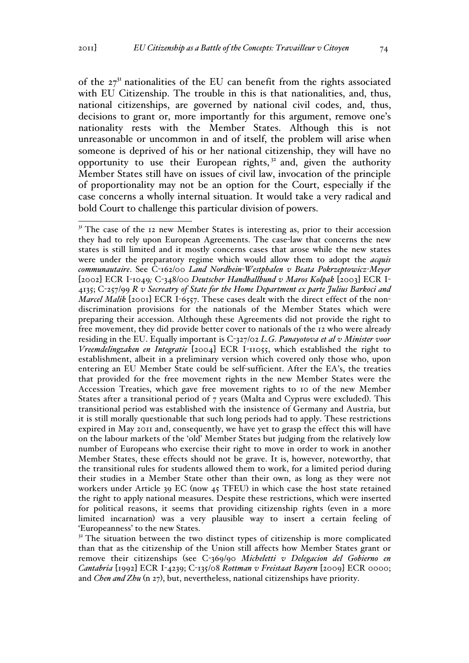of the  $27<sup>31</sup>$  nationalities of the EU can benefit from the rights associated with EU Citizenship. The trouble in this is that nationalities, and, thus, national citizenships, are governed by national civil codes, and, thus, decisions to grant or, more importantly for this argument, remove one's nationality rests with the Member States. Although this is not unreasonable or uncommon in and of itself, the problem will arise when someone is deprived of his or her national citizenship, they will have no opportunity to use their European rights, $3<sup>2</sup>$  and, given the authority Member States still have on issues of civil law, invocation of the principle of proportionality may not be an option for the Court, especially if the case concerns a wholly internal situation. It would take a very radical and bold Court to challenge this particular division of powers.

 $31$  The case of the 12 new Member States is interesting as, prior to their accession they had to rely upon European Agreements. The case-law that concerns the new states is still limited and it mostly concerns cases that arose while the new states were under the preparatory regime which would allow them to adopt the *acquis communautaire*. See C-162/00 *Land Nordhein-Westphalen v Beata Pokrzeptowicz-Meyer*  [2002] ECR I-1049*;* C-348/00 *Deutscher Handballbund v Maros Kolpak* [2003] ECR I-4135; C-257/99 *R v Secreatry of State for the Home Department ex parte Julius Barkoci and Marcel Malik* [2001] ECR I-6557. These cases dealt with the direct effect of the nondiscrimination provisions for the nationals of the Member States which were preparing their accession. Although these Agreements did not provide the right to free movement, they did provide better cover to nationals of the 12 who were already residing in the EU. Equally important is C-327/02 *L.G. Panayotova et al v Minister voor Vreemdelingzaken en Integratie* [2004] ECR I-11055, which established the right to establishment, albeit in a preliminary version which covered only those who, upon entering an EU Member State could be self-sufficient. After the EA's, the treaties that provided for the free movement rights in the new Member States were the Accession Treaties, which gave free movement rights to 10 of the new Member States after a transitional period of 7 years (Malta and Cyprus were excluded). This transitional period was established with the insistence of Germany and Austria, but it is still morally questionable that such long periods had to apply. These restrictions expired in May 2011 and, consequently, we have yet to grasp the effect this will have on the labour markets of the 'old' Member States but judging from the relatively low number of Europeans who exercise their right to move in order to work in another Member States, these effects should not be grave. It is, however, noteworthy, that the transitional rules for students allowed them to work, for a limited period during their studies in a Member State other than their own, as long as they were not workers under Article 39 EC (now 45 TFEU) in which case the host state retained the right to apply national measures. Despite these restrictions, which were inserted for political reasons, it seems that providing citizenship rights (even in a more limited incarnation) was a very plausible way to insert a certain feeling of 'Europeanness' to the new States.

 $32$ <sup>32</sup> The situation between the two distinct types of citizenship is more complicated than that as the citizenship of the Union still affects how Member States grant or remove their citizenships (see C-369/90 *Micheletti v Delegacion del Gobierno en Cantabria* [1992] ECR I-4239; C-135/08 *Rottman v Freistaat Bayern* [2009] ECR 0000; and *Chen and Zhu* (n 27), but, nevertheless, national citizenships have priority.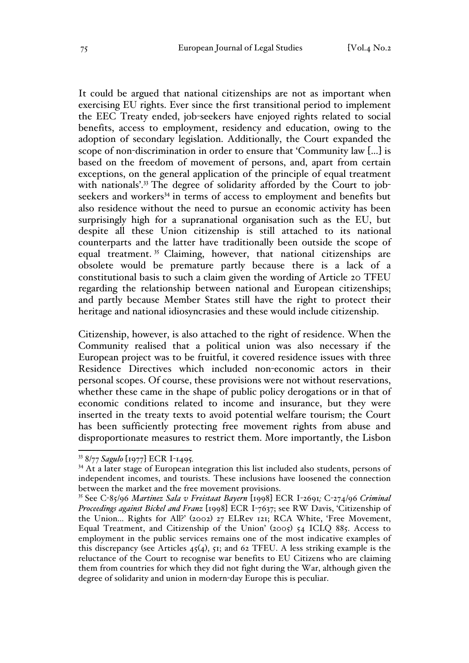It could be argued that national citizenships are not as important when exercising EU rights. Ever since the first transitional period to implement the EEC Treaty ended, job-seekers have enjoyed rights related to social benefits, access to employment, residency and education, owing to the adoption of secondary legislation. Additionally, the Court expanded the scope of non-discrimination in order to ensure that 'Community law […] is based on the freedom of movement of persons, and, apart from certain exceptions, on the general application of the principle of equal treatment with nationals'.<sup>33</sup> The degree of solidarity afforded by the Court to jobseekers and workers<sup>34</sup> in terms of access to employment and benefits but also residence without the need to pursue an economic activity has been surprisingly high for a supranational organisation such as the EU, but despite all these Union citizenship is still attached to its national counterparts and the latter have traditionally been outside the scope of equal treatment.<sup>35</sup> Claiming, however, that national citizenships are obsolete would be premature partly because there is a lack of a constitutional basis to such a claim given the wording of Article 20 TFEU regarding the relationship between national and European citizenships; and partly because Member States still have the right to protect their heritage and national idiosyncrasies and these would include citizenship.

Citizenship, however, is also attached to the right of residence. When the Community realised that a political union was also necessary if the European project was to be fruitful, it covered residence issues with three Residence Directives which included non-economic actors in their personal scopes. Of course, these provisions were not without reservations, whether these came in the shape of public policy derogations or in that of economic conditions related to income and insurance, but they were inserted in the treaty texts to avoid potential welfare tourism; the Court has been sufficiently protecting free movement rights from abuse and disproportionate measures to restrict them. More importantly, the Lisbon

<sup>33</sup> 8/77 *Sagulo* [1977] ECR I-1495*.* <sup>34</sup> At a later stage of European integration this list included also students, persons of independent incomes, and tourists. These inclusions have loosened the connection between the market and the free movement provisions.

<sup>35</sup> See C-85/96 *Martinez Sala v Freistaat Bayern* [1998] ECR I-2691*;* C-274/96 *Criminal Proceedings against Bickel and Franz* [1998] ECR I-7637; see RW Davis, 'Citizenship of the Union... Rights for All?' (2002) 27 ELRev 121; RCA White, 'Free Movement, Equal Treatment, and Citizenship of the Union' (2005) 54 ICLQ 885. Access to employment in the public services remains one of the most indicative examples of this discrepancy (see Articles  $45(4)$ ,  $51$ ; and  $62$  TFEU. A less striking example is the reluctance of the Court to recognise war benefits to EU Citizens who are claiming them from countries for which they did not fight during the War, although given the degree of solidarity and union in modern-day Europe this is peculiar.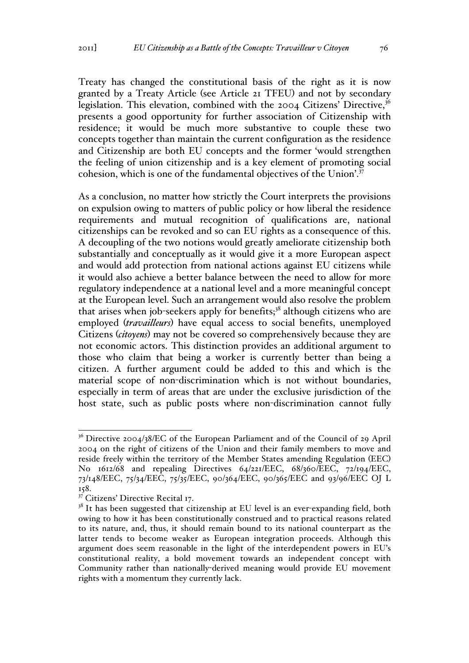Treaty has changed the constitutional basis of the right as it is now granted by a Treaty Article (see Article 21 TFEU) and not by secondary legislation. This elevation, combined with the  $2004$  Citizens' Directive,  $36$ presents a good opportunity for further association of Citizenship with residence; it would be much more substantive to couple these two concepts together than maintain the current configuration as the residence and Citizenship are both EU concepts and the former 'would strengthen the feeling of union citizenship and is a key element of promoting social cohesion, which is one of the fundamental objectives of the Union'.<sup>37</sup>

As a conclusion, no matter how strictly the Court interprets the provisions on expulsion owing to matters of public policy or how liberal the residence requirements and mutual recognition of qualifications are, national citizenships can be revoked and so can EU rights as a consequence of this. A decoupling of the two notions would greatly ameliorate citizenship both substantially and conceptually as it would give it a more European aspect and would add protection from national actions against EU citizens while it would also achieve a better balance between the need to allow for more regulatory independence at a national level and a more meaningful concept at the European level. Such an arrangement would also resolve the problem that arises when job-seekers apply for benefits; $3<sup>8</sup>$  although citizens who are employed (*travailleurs*) have equal access to social benefits, unemployed Citizens (*citoyens*) may not be covered so comprehensively because they are not economic actors. This distinction provides an additional argument to those who claim that being a worker is currently better than being a citizen. A further argument could be added to this and which is the material scope of non-discrimination which is not without boundaries, especially in term of areas that are under the exclusive jurisdiction of the host state, such as public posts where non-discrimination cannot fully

<sup>&</sup>lt;sup>36</sup> Directive 2004/38/EC of the European Parliament and of the Council of 29 April 2004 on the right of citizens of the Union and their family members to move and reside freely within the territory of the Member States amending Regulation (EEC) No 1612/68 and repealing Directives 64/221/EEC, 68/360/EEC, 72/194/EEC, 73/148/EEC, 75/34/EEC, 75/35/EEC, 90/364/EEC, 90/365/EEC and 93/96/EEC OJ L 158.

 $37$  Citizens' Directive Recital 17.

<sup>&</sup>lt;sup>38</sup> It has been suggested that citizenship at EU level is an ever-expanding field, both owing to how it has been constitutionally construed and to practical reasons related to its nature, and, thus, it should remain bound to its national counterpart as the latter tends to become weaker as European integration proceeds. Although this argument does seem reasonable in the light of the interdependent powers in EU's constitutional reality, a bold movement towards an independent concept with Community rather than nationally-derived meaning would provide EU movement rights with a momentum they currently lack.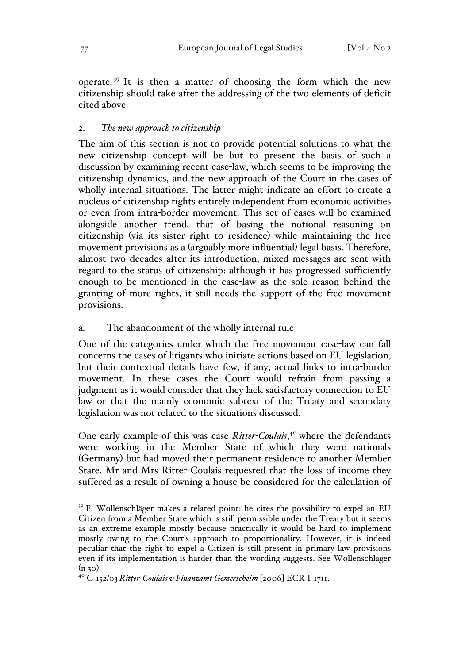operate. <sup>39</sup> It is then a matter of choosing the form which the new citizenship should take after the addressing of the two elements of deficit cited above.

# 2. *The new approach to citizenship*

The aim of this section is not to provide potential solutions to what the new citizenship concept will be but to present the basis of such a discussion by examining recent case-law, which seems to be improving the citizenship dynamics, and the new approach of the Court in the cases of wholly internal situations. The latter might indicate an effort to create a nucleus of citizenship rights entirely independent from economic activities or even from intra-border movement. This set of cases will be examined alongside another trend, that of basing the notional reasoning on citizenship (via its sister right to residence) while maintaining the free movement provisions as a (arguably more influential) legal basis. Therefore, almost two decades after its introduction, mixed messages are sent with regard to the status of citizenship: although it has progressed sufficiently enough to be mentioned in the case-law as the sole reason behind the granting of more rights, it still needs the support of the free movement provisions.

### a. The abandonment of the wholly internal rule

One of the categories under which the free movement case-law can fall concerns the cases of litigants who initiate actions based on EU legislation, but their contextual details have few, if any, actual links to intra-border movement. In these cases the Court would refrain from passing a judgment as it would consider that they lack satisfactory connection to EU law or that the mainly economic subtext of the Treaty and secondary legislation was not related to the situations discussed.

One early example of this was case *Ritter-Coulais*, <sup>40</sup> where the defendants were working in the Member State of which they were nationals (Germany) but had moved their permanent residence to another Member State. Mr and Mrs Ritter-Coulais requested that the loss of income they suffered as a result of owning a house be considered for the calculation of

 <sup>39</sup> F. Wollenschläger makes a related point: he cites the possibility to expel an EU Citizen from a Member State which is still permissible under the Treaty but it seems as an extreme example mostly because practically it would be hard to implement mostly owing to the Court's approach to proportionality. However, it is indeed peculiar that the right to expel a Citizen is still present in primary law provisions even if its implementation is harder than the wording suggests. See Wollenschläger

<sup>(</sup>n 30). <sup>40</sup> <sup>C</sup>-152/03 *Ritter-Coulais v Finanzamt Gemerscheim* [2006] ECR I-1711.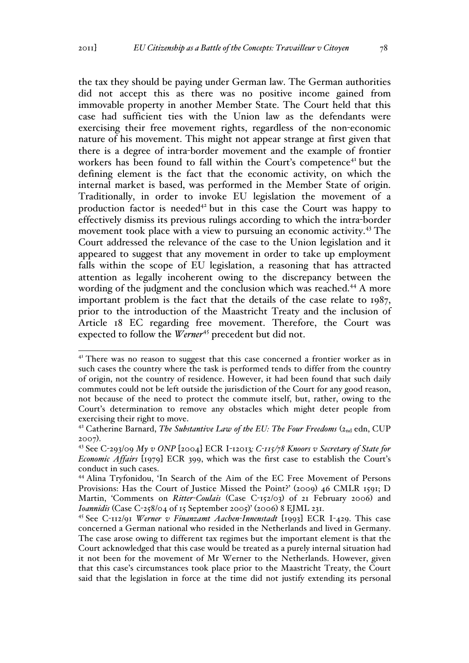the tax they should be paying under German law. The German authorities did not accept this as there was no positive income gained from immovable property in another Member State. The Court held that this case had sufficient ties with the Union law as the defendants were exercising their free movement rights, regardless of the non-economic nature of his movement. This might not appear strange at first given that there is a degree of intra-border movement and the example of frontier workers has been found to fall within the Court's competence<sup>41</sup> but the defining element is the fact that the economic activity, on which the internal market is based, was performed in the Member State of origin. Traditionally, in order to invoke EU legislation the movement of a production factor is needed<sup> $42$ </sup> but in this case the Court was happy to effectively dismiss its previous rulings according to which the intra-border movement took place with a view to pursuing an economic activity.<sup>43</sup> The Court addressed the relevance of the case to the Union legislation and it appeared to suggest that any movement in order to take up employment falls within the scope of EU legislation, a reasoning that has attracted attention as legally incoherent owing to the discrepancy between the wording of the judgment and the conclusion which was reached.<sup>44</sup> A more important problem is the fact that the details of the case relate to 1987, prior to the introduction of the Maastricht Treaty and the inclusion of Article 18 EC regarding free movement. Therefore, the Court was expected to follow the *Werner*<sup>45</sup> precedent but did not.

<sup>&</sup>lt;sup>41</sup> There was no reason to suggest that this case concerned a frontier worker as in such cases the country where the task is performed tends to differ from the country of origin, not the country of residence. However, it had been found that such daily commutes could not be left outside the jurisdiction of the Court for any good reason, not because of the need to protect the commute itself, but, rather, owing to the Court's determination to remove any obstacles which might deter people from exercising their right to move.

<sup>&</sup>lt;sup>42</sup> Catherine Barnard, *The Substantive Law of the EU: The Four Freedoms* (2<sub>nd</sub> edn, CUP <sup>2007</sup>). <sup>43</sup> See C-293/09 *My v ONP* [2004] ECR I-12013*; C-115/78 Knoors v Secretary of State for* 

*Economic Affairs* [1979] ECR 399, which was the first case to establish the Court's conduct in such cases.

<sup>44</sup> Alina Tryfonidou, 'In Search of the Aim of the EC Free Movement of Persons Provisions: Has the Court of Justice Missed the Point?' (2009) 46 CMLR 1591; D Martin, 'Comments on *Ritter-Coulais* (Case C-152/03) of 21 February 2006) and *Ioannidis* (Case C-258/04 of 15 September 2005)' (2006) 8 EJML 231.

<sup>45</sup> See C-112/91 *Werner v Finanzamt Aachen-Innenstadt* [1993] ECR I-429. This case concerned a German national who resided in the Netherlands and lived in Germany. The case arose owing to different tax regimes but the important element is that the Court acknowledged that this case would be treated as a purely internal situation had it not been for the movement of Mr Werner to the Netherlands. However, given that this case's circumstances took place prior to the Maastricht Treaty, the Court said that the legislation in force at the time did not justify extending its personal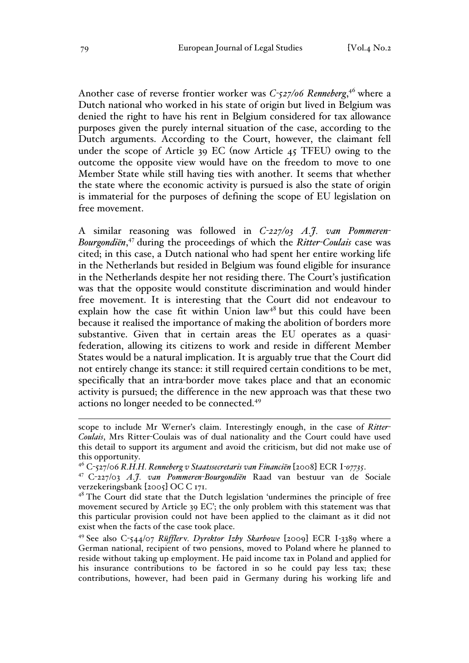Another case of reverse frontier worker was *C-527/06 Renneberg*, <sup>46</sup> where a Dutch national who worked in his state of origin but lived in Belgium was denied the right to have his rent in Belgium considered for tax allowance purposes given the purely internal situation of the case, according to the Dutch arguments. According to the Court, however, the claimant fell under the scope of Article 39 EC (now Article 45 TFEU) owing to the outcome the opposite view would have on the freedom to move to one Member State while still having ties with another. It seems that whether the state where the economic activity is pursued is also the state of origin is immaterial for the purposes of defining the scope of EU legislation on free movement.

A similar reasoning was followed in *C-227/03 A.J. van Pommeren-Bourgondiën*, <sup>47</sup> during the proceedings of which the *Ritter-Coulais* case was cited; in this case, a Dutch national who had spent her entire working life in the Netherlands but resided in Belgium was found eligible for insurance in the Netherlands despite her not residing there. The Court's justification was that the opposite would constitute discrimination and would hinder free movement. It is interesting that the Court did not endeavour to explain how the case fit within Union  $law<sup>48</sup>$  but this could have been because it realised the importance of making the abolition of borders more substantive. Given that in certain areas the EU operates as a quasifederation, allowing its citizens to work and reside in different Member States would be a natural implication. It is arguably true that the Court did not entirely change its stance: it still required certain conditions to be met, specifically that an intra-border move takes place and that an economic activity is pursued; the difference in the new approach was that these two actions no longer needed to be connected.<sup>49</sup>

scope to include Mr Werner's claim. Interestingly enough, in the case of *Ritter-Coulais*, Mrs Ritter-Coulais was of dual nationality and the Court could have used this detail to support its argument and avoid the criticism, but did not make use of this opportunity.

<sup>46</sup> <sup>C</sup>-527/06 *R.H.H. Renneberg v Staatssecretaris van Financiën* [2008] ECR I*-07735*. <sup>47</sup> <sup>C</sup>-227/03 *A.J. van Pommeren-Bourgondiën* Raad van bestuur van de Sociale verzekeringsbank [2005] OC C 171.

<sup>&</sup>lt;sup>48</sup> The Court did state that the Dutch legislation 'undermines the principle of free movement secured by Article 39 EC'; the only problem with this statement was that this particular provision could not have been applied to the claimant as it did not exist when the facts of the case took place.

<sup>49</sup> See also C-544/07 *Rüffler*v*. Dyrektor Izby Skarbowe* [2009] ECR I‐3389 where a German national, recipient of two pensions, moved to Poland where he planned to reside without taking up employment. He paid income tax in Poland and applied for his insurance contributions to be factored in so he could pay less tax; these contributions, however, had been paid in Germany during his working life and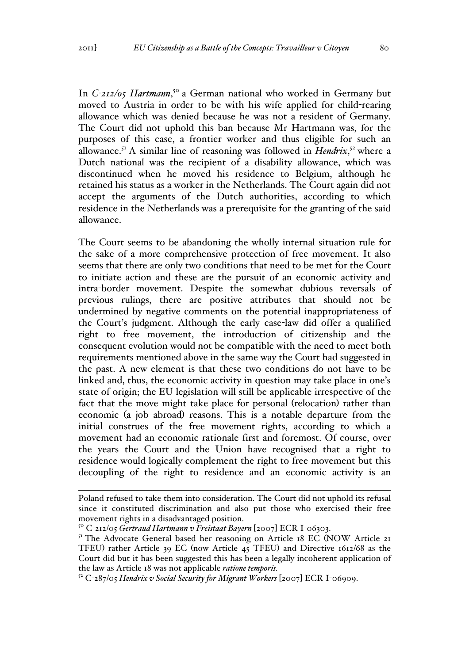In *C-212/05 Hartmann*, <sup>50</sup> a German national who worked in Germany but moved to Austria in order to be with his wife applied for child-rearing allowance which was denied because he was not a resident of Germany. The Court did not uphold this ban because Mr Hartmann was, for the purposes of this case, a frontier worker and thus eligible for such an allowance.<sup>51</sup> A similar line of reasoning was followed in *Hendrix*,<sup>52</sup> where a Dutch national was the recipient of a disability allowance, which was discontinued when he moved his residence to Belgium, although he retained his status as a worker in the Netherlands. The Court again did not accept the arguments of the Dutch authorities, according to which residence in the Netherlands was a prerequisite for the granting of the said allowance.

The Court seems to be abandoning the wholly internal situation rule for the sake of a more comprehensive protection of free movement. It also seems that there are only two conditions that need to be met for the Court to initiate action and these are the pursuit of an economic activity and intra-border movement. Despite the somewhat dubious reversals of previous rulings, there are positive attributes that should not be undermined by negative comments on the potential inappropriateness of the Court's judgment. Although the early case-law did offer a qualified right to free movement, the introduction of citizenship and the consequent evolution would not be compatible with the need to meet both requirements mentioned above in the same way the Court had suggested in the past. A new element is that these two conditions do not have to be linked and, thus, the economic activity in question may take place in one's state of origin; the EU legislation will still be applicable irrespective of the fact that the move might take place for personal (relocation) rather than economic (a job abroad) reasons. This is a notable departure from the initial construes of the free movement rights, according to which a movement had an economic rationale first and foremost. Of course, over the years the Court and the Union have recognised that a right to residence would logically complement the right to free movement but this decoupling of the right to residence and an economic activity is an

Poland refused to take them into consideration. The Court did not uphold its refusal since it constituted discrimination and also put those who exercised their free movement rights in a disadvantaged position.

<sup>&</sup>lt;sup>50</sup> C-212/05 *Gertraud Hartmann v Freistaat Bayern* [2007] ECR I-06303.<br><sup>51</sup> The Advocate General based her reasoning on Article 18 EC (NOW Article 21 TFEU) rather Article 39 EC (now Article 45 TFEU) and Directive 1612/68 as the Court did but it has been suggested this has been a legally incoherent application of the law as Article 18 was not applicable *ratione temporis.*

<sup>52</sup> C-287/05 *Hendrix v Social Security for Migrant Workers* [2007] ECR I-06909.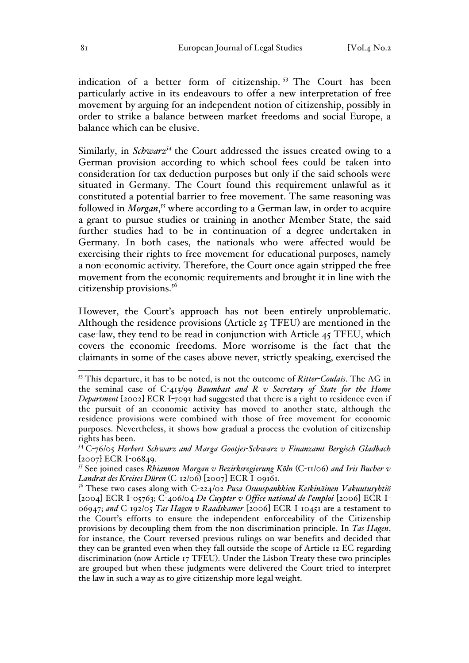indication of a better form of citizenship. <sup>53</sup> The Court has been particularly active in its endeavours to offer a new interpretation of free movement by arguing for an independent notion of citizenship, possibly in order to strike a balance between market freedoms and social Europe, a balance which can be elusive.

Similarly, in *Schwarz<sup>54</sup>* the Court addressed the issues created owing to a German provision according to which school fees could be taken into consideration for tax deduction purposes but only if the said schools were situated in Germany. The Court found this requirement unlawful as it constituted a potential barrier to free movement. The same reasoning was followed in *Morgan*, *<sup>55</sup>* where according to a German law, in order to acquire a grant to pursue studies or training in another Member State, the said further studies had to be in continuation of a degree undertaken in Germany. In both cases, the nationals who were affected would be exercising their rights to free movement for educational purposes, namely a non-economic activity. Therefore, the Court once again stripped the free movement from the economic requirements and brought it in line with the citizenship provisions.<sup>56</sup>

However, the Court's approach has not been entirely unproblematic. Although the residence provisions (Article 25 TFEU) are mentioned in the case-law, they tend to be read in conjunction with Article 45 TFEU, which covers the economic freedoms. More worrisome is the fact that the claimants in some of the cases above never, strictly speaking, exercised the

 <sup>53</sup> This departure, it has to be noted, is not the outcome of *Ritter-Coulais*. The AG in the seminal case of C-413/99 *Baumbast and R v Secretary of State for the Home Department* [2002] ECR I-7091 had suggested that there is a right to residence even if the pursuit of an economic activity has moved to another state, although the residence provisions were combined with those of free movement for economic purposes. Nevertheless, it shows how gradual a process the evolution of citizenship rights has been.

<sup>54</sup> C-76/05 *Herbert Schwarz and Marga Gootjes-Schwarz v Finanzamt Bergisch Gladbach* 

<sup>[</sup>2007] ECR I-06849*.* <sup>55</sup> See joined cases *Rhiannon Morgan v Bezirksregierung Köln* (C-11/06) *and Iris Bucher v* 

<sup>&</sup>lt;sup>56</sup> These two cases along with C-224/02 Pusa Osuuspankkien Keskinäinen Vakuutusyhtiö [2004] ECR I-05763; C-406/04 *De Cuypter v Office national de l'emploi* [2006] ECR I-06947; *and* C-192/05 *Tas-Hagen v Raadskamer* [2006] ECR I-10451 are a testament to the Court's efforts to ensure the independent enforceability of the Citizenship provisions by decoupling them from the non-discrimination principle. In *Tas-Hagen*, for instance, the Court reversed previous rulings on war benefits and decided that they can be granted even when they fall outside the scope of Article 12 EC regarding discrimination (now Article 17 TFEU). Under the Lisbon Treaty these two principles are grouped but when these judgments were delivered the Court tried to interpret the law in such a way as to give citizenship more legal weight.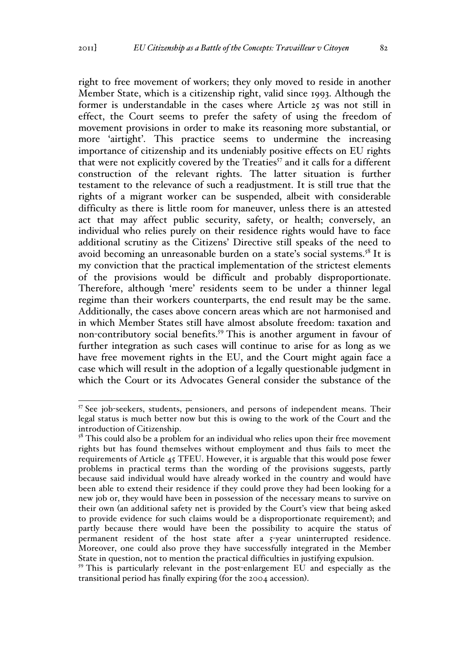right to free movement of workers; they only moved to reside in another Member State, which is a citizenship right, valid since 1993. Although the former is understandable in the cases where Article 25 was not still in effect, the Court seems to prefer the safety of using the freedom of movement provisions in order to make its reasoning more substantial, or more 'airtight'. This practice seems to undermine the increasing importance of citizenship and its undeniably positive effects on EU rights that were not explicitly covered by the Treaties<sup>57</sup> and it calls for a different construction of the relevant rights. The latter situation is further testament to the relevance of such a readjustment. It is still true that the rights of a migrant worker can be suspended, albeit with considerable difficulty as there is little room for maneuver, unless there is an attested act that may affect public security, safety, or health; conversely, an individual who relies purely on their residence rights would have to face additional scrutiny as the Citizens' Directive still speaks of the need to avoid becoming an unreasonable burden on a state's social systems.<sup>58</sup> It is my conviction that the practical implementation of the strictest elements of the provisions would be difficult and probably disproportionate. Therefore, although 'mere' residents seem to be under a thinner legal regime than their workers counterparts, the end result may be the same. Additionally, the cases above concern areas which are not harmonised and in which Member States still have almost absolute freedom: taxation and non-contributory social benefits.59 This is another argument in favour of further integration as such cases will continue to arise for as long as we have free movement rights in the EU, and the Court might again face a case which will result in the adoption of a legally questionable judgment in which the Court or its Advocates General consider the substance of the

 <sup>57</sup> See job-seekers, students, pensioners, and persons of independent means. Their legal status is much better now but this is owing to the work of the Court and the introduction of Citizenship.

 $58$  This could also be a problem for an individual who relies upon their free movement rights but has found themselves without employment and thus fails to meet the requirements of Article 45 TFEU. However, it is arguable that this would pose fewer problems in practical terms than the wording of the provisions suggests, partly because said individual would have already worked in the country and would have been able to extend their residence if they could prove they had been looking for a new job or, they would have been in possession of the necessary means to survive on their own (an additional safety net is provided by the Court's view that being asked to provide evidence for such claims would be a disproportionate requirement); and partly because there would have been the possibility to acquire the status of permanent resident of the host state after a 5-year uninterrupted residence. Moreover, one could also prove they have successfully integrated in the Member State in question, not to mention the practical difficulties in justifying expulsion.

<sup>&</sup>lt;sup>59</sup> This is particularly relevant in the post-enlargement EU and especially as the transitional period has finally expiring (for the 2004 accession).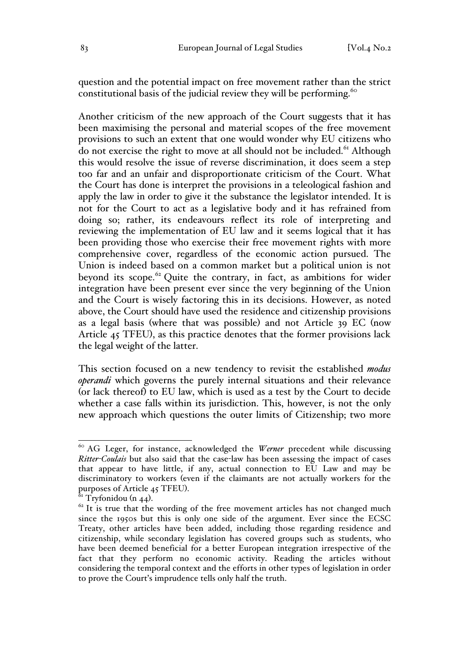question and the potential impact on free movement rather than the strict constitutional basis of the judicial review they will be performing. $60$ 

Another criticism of the new approach of the Court suggests that it has been maximising the personal and material scopes of the free movement provisions to such an extent that one would wonder why EU citizens who do not exercise the right to move at all should not be included.<sup> $61$ </sup> Although this would resolve the issue of reverse discrimination, it does seem a step too far and an unfair and disproportionate criticism of the Court. What the Court has done is interpret the provisions in a teleological fashion and apply the law in order to give it the substance the legislator intended. It is not for the Court to act as a legislative body and it has refrained from doing so; rather, its endeavours reflect its role of interpreting and reviewing the implementation of EU law and it seems logical that it has been providing those who exercise their free movement rights with more comprehensive cover, regardless of the economic action pursued. The Union is indeed based on a common market but a political union is not beyond its scope.<sup>62</sup> Quite the contrary, in fact, as ambitions for wider integration have been present ever since the very beginning of the Union and the Court is wisely factoring this in its decisions. However, as noted above, the Court should have used the residence and citizenship provisions as a legal basis (where that was possible) and not Article 39 EC (now Article 45 TFEU), as this practice denotes that the former provisions lack the legal weight of the latter.

This section focused on a new tendency to revisit the established *modus operandi* which governs the purely internal situations and their relevance (or lack thereof) to EU law, which is used as a test by the Court to decide whether a case falls within its jurisdiction. This, however, is not the only new approach which questions the outer limits of Citizenship; two more

<sup>&</sup>lt;sup>60</sup> AG Leger, for instance, acknowledged the *Werner* precedent while discussing *Ritter-Coulais* but also said that the case-law has been assessing the impact of cases that appear to have little, if any, actual connection to EU Law and may be discriminatory to workers (even if the claimants are not actually workers for the purposes of Article 45 TFEU).<br><sup>61</sup> Tryfonidou (n 44).<br><sup>62</sup> It is true that the wording of the free movement articles has not changed much

since the 1950s but this is only one side of the argument. Ever since the ECSC Treaty, other articles have been added, including those regarding residence and citizenship, while secondary legislation has covered groups such as students, who have been deemed beneficial for a better European integration irrespective of the fact that they perform no economic activity. Reading the articles without considering the temporal context and the efforts in other types of legislation in order to prove the Court's imprudence tells only half the truth.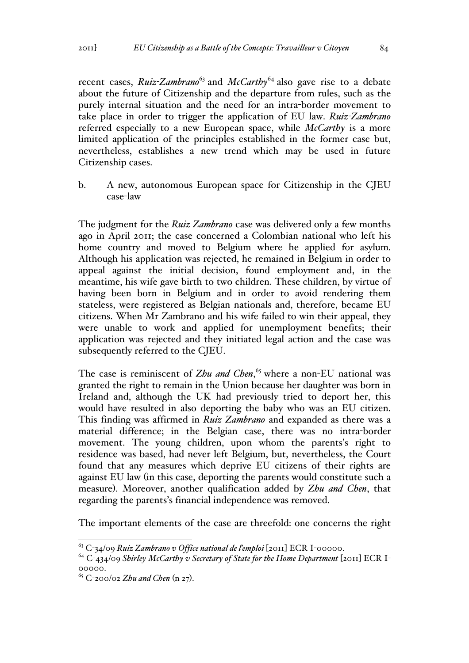recent cases, *Ruiz<sup>-</sup>Zambrano*<sup>63</sup> and *McCarthy*<sup>64</sup> also gave rise to a debate about the future of Citizenship and the departure from rules, such as the purely internal situation and the need for an intra-border movement to take place in order to trigger the application of EU law. *Ruiz-Zambrano* referred especially to a new European space, while *McCarthy* is a more limited application of the principles established in the former case but, nevertheless, establishes a new trend which may be used in future Citizenship cases.

b. A new, autonomous European space for Citizenship in the CJEU case-law

The judgment for the *Ruiz Zambrano* case was delivered only a few months ago in April 2011; the case concerned a Colombian national who left his home country and moved to Belgium where he applied for asylum. Although his application was rejected, he remained in Belgium in order to appeal against the initial decision, found employment and, in the meantime, his wife gave birth to two children. These children, by virtue of having been born in Belgium and in order to avoid rendering them stateless, were registered as Belgian nationals and, therefore, became EU citizens. When Mr Zambrano and his wife failed to win their appeal, they were unable to work and applied for unemployment benefits; their application was rejected and they initiated legal action and the case was subsequently referred to the CJEU.

The case is reminiscent of *Zhu and Chen*, <sup>65</sup> where a non-EU national was granted the right to remain in the Union because her daughter was born in Ireland and, although the UK had previously tried to deport her, this would have resulted in also deporting the baby who was an EU citizen. This finding was affirmed in *Ruiz Zambrano* and expanded as there was a material difference; in the Belgian case, there was no intra-border movement. The young children, upon whom the parents's right to residence was based, had never left Belgium, but, nevertheless, the Court found that any measures which deprive EU citizens of their rights are against EU law (in this case, deporting the parents would constitute such a measure). Moreover, another qualification added by *Zhu and Chen*, that regarding the parents's financial independence was removed.

The important elements of the case are threefold: one concerns the right

<sup>63</sup> <sup>C</sup>-34/09 *Ruiz Zambrano v Office national de l'emploi* [2011] ECR I-00000. <sup>64</sup> <sup>C</sup>-434/09 *Shirley McCarthy v Secretary of State for the Home Department* [2011] ECR I-

<sup>00000.</sup> <sup>65</sup> <sup>C</sup>-200/02 *Zhu and Chen* (n 27).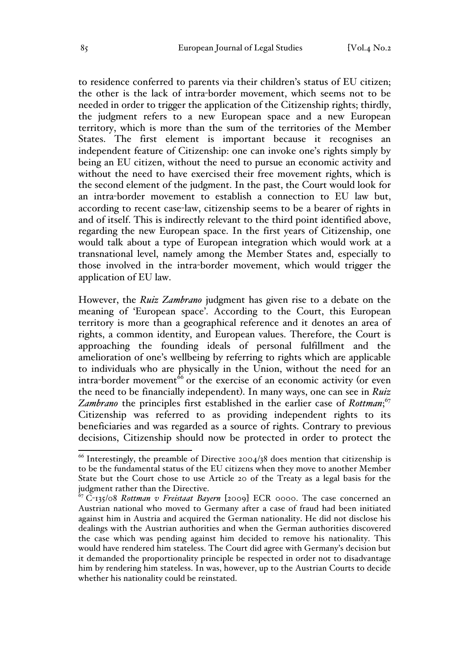to residence conferred to parents via their children's status of EU citizen; the other is the lack of intra-border movement, which seems not to be needed in order to trigger the application of the Citizenship rights; thirdly, the judgment refers to a new European space and a new European territory, which is more than the sum of the territories of the Member States. The first element is important because it recognises an independent feature of Citizenship: one can invoke one's rights simply by being an EU citizen, without the need to pursue an economic activity and without the need to have exercised their free movement rights, which is the second element of the judgment. In the past, the Court would look for an intra-border movement to establish a connection to EU law but, according to recent case-law, citizenship seems to be a bearer of rights in and of itself. This is indirectly relevant to the third point identified above, regarding the new European space. In the first years of Citizenship, one would talk about a type of European integration which would work at a transnational level, namely among the Member States and, especially to those involved in the intra-border movement, which would trigger the application of EU law.

However, the *Ruiz Zambrano* judgment has given rise to a debate on the meaning of 'European space'. According to the Court, this European territory is more than a geographical reference and it denotes an area of rights, a common identity, and European values. Therefore, the Court is approaching the founding ideals of personal fulfillment and the amelioration of one's wellbeing by referring to rights which are applicable to individuals who are physically in the Union, without the need for an intra-border movement<sup>66</sup> or the exercise of an economic activity (or even the need to be financially independent). In many ways, one can see in *Ruiz*  Zambrano the principles first established in the earlier case of *Rottman*;<sup>67</sup> Citizenship was referred to as providing independent rights to its beneficiaries and was regarded as a source of rights. Contrary to previous decisions, Citizenship should now be protected in order to protect the

 $66$  Interestingly, the preamble of Directive 2004/38 does mention that citizenship is to be the fundamental status of the EU citizens when they move to another Member State but the Court chose to use Article 20 of the Treaty as a legal basis for the judgment rather than the Directive.

<sup>67</sup> C-135/08 *Rottman v Freistaat Bayern* [2009] ECR 0000. The case concerned an Austrian national who moved to Germany after a case of fraud had been initiated against him in Austria and acquired the German nationality. He did not disclose his dealings with the Austrian authorities and when the German authorities discovered the case which was pending against him decided to remove his nationality. This would have rendered him stateless. The Court did agree with Germany's decision but it demanded the proportionality principle be respected in order not to disadvantage him by rendering him stateless. In was, however, up to the Austrian Courts to decide whether his nationality could be reinstated.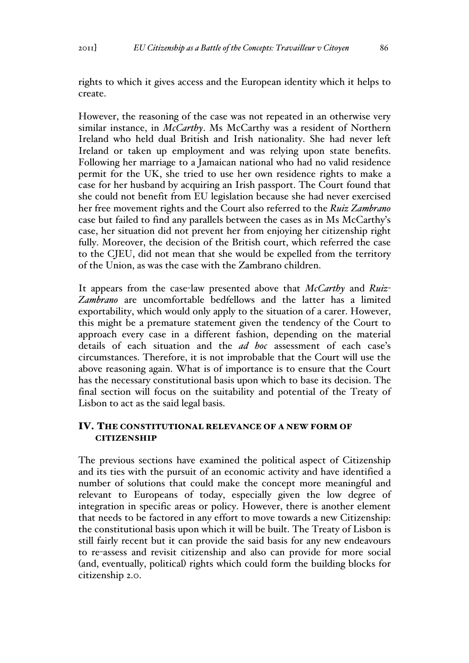rights to which it gives access and the European identity which it helps to create.

However, the reasoning of the case was not repeated in an otherwise very similar instance, in *McCarthy*. Ms McCarthy was a resident of Northern Ireland who held dual British and Irish nationality. She had never left Ireland or taken up employment and was relying upon state benefits. Following her marriage to a Jamaican national who had no valid residence permit for the UK, she tried to use her own residence rights to make a case for her husband by acquiring an Irish passport. The Court found that she could not benefit from EU legislation because she had never exercised her free movement rights and the Court also referred to the *Ruiz Zambrano* case but failed to find any parallels between the cases as in Ms McCarthy's case, her situation did not prevent her from enjoying her citizenship right fully. Moreover, the decision of the British court, which referred the case to the CJEU, did not mean that she would be expelled from the territory of the Union, as was the case with the Zambrano children.

It appears from the case-law presented above that *McCarthy* and *Ruiz-Zambrano* are uncomfortable bedfellows and the latter has a limited exportability, which would only apply to the situation of a carer. However, this might be a premature statement given the tendency of the Court to approach every case in a different fashion, depending on the material details of each situation and the *ad hoc* assessment of each case's circumstances. Therefore, it is not improbable that the Court will use the above reasoning again. What is of importance is to ensure that the Court has the necessary constitutional basis upon which to base its decision. The final section will focus on the suitability and potential of the Treaty of Lisbon to act as the said legal basis.

### IV. THE CONSTITUTIONAL RELEVANCE OF A NEW FORM OF **CITIZENSHIP**

The previous sections have examined the political aspect of Citizenship and its ties with the pursuit of an economic activity and have identified a number of solutions that could make the concept more meaningful and relevant to Europeans of today, especially given the low degree of integration in specific areas or policy. However, there is another element that needs to be factored in any effort to move towards a new Citizenship: the constitutional basis upon which it will be built. The Treaty of Lisbon is still fairly recent but it can provide the said basis for any new endeavours to re-assess and revisit citizenship and also can provide for more social (and, eventually, political) rights which could form the building blocks for citizenship 2.0.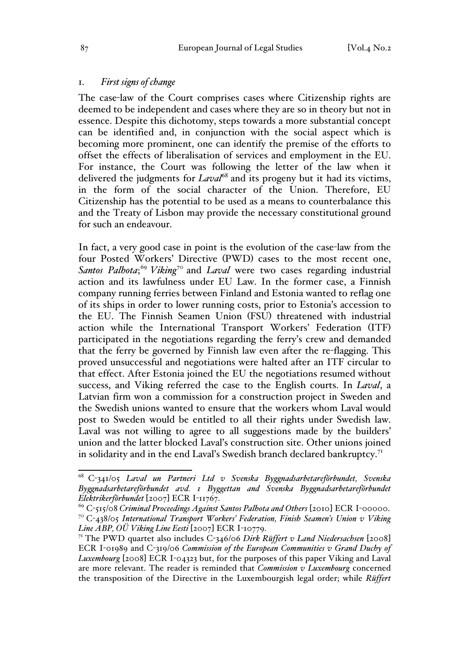### 1. *First signs of change*

The case-law of the Court comprises cases where Citizenship rights are deemed to be independent and cases where they are so in theory but not in essence. Despite this dichotomy, steps towards a more substantial concept can be identified and, in conjunction with the social aspect which is becoming more prominent, one can identify the premise of the efforts to offset the effects of liberalisation of services and employment in the EU. For instance, the Court was following the letter of the law when it delivered the judgments for *Laval*<sup>68</sup> and its progeny but it had its victims, in the form of the social character of the Union. Therefore, EU Citizenship has the potential to be used as a means to counterbalance this and the Treaty of Lisbon may provide the necessary constitutional ground for such an endeavour.

In fact, a very good case in point is the evolution of the case-law from the four Posted Workers' Directive (PWD) cases to the most recent one, Santos Palhota;<sup>69</sup> Viking<sup>70</sup> and *Laval* were two cases regarding industrial action and its lawfulness under EU Law. In the former case, a Finnish company running ferries between Finland and Estonia wanted to reflag one of its ships in order to lower running costs, prior to Estonia's accession to the EU. The Finnish Seamen Union (FSU) threatened with industrial action while the International Transport Workers' Federation (ITF) participated in the negotiations regarding the ferry's crew and demanded that the ferry be governed by Finnish law even after the re-flagging. This proved unsuccessful and negotiations were halted after an ITF circular to that effect. After Estonia joined the EU the negotiations resumed without success, and Viking referred the case to the English courts. In *Laval*, a Latvian firm won a commission for a construction project in Sweden and the Swedish unions wanted to ensure that the workers whom Laval would post to Sweden would be entitled to all their rights under Swedish law. Laval was not willing to agree to all suggestions made by the builders' union and the latter blocked Laval's construction site. Other unions joined in solidarity and in the end Laval's Swedish branch declared bankruptcy.<sup>71</sup>

 <sup>68</sup> <sup>C</sup>-341/05 *Laval un Partneri Ltd v Svenska Byggnadsarbetareförbundet, Svenska Byggnadsarbetareförbundet avd. 1 Byggettan and Svenska Byggnadsarbetareförbundet Elektrikerförbundet* [2007] ECR I-11767.

<sup>&</sup>lt;sup>69</sup> C-515/08 *Criminal Proceedings Against Santos Palhota and Others* [2010] ECR I-00000. <sup>70</sup> C-438/05 *International Transport Workers' Federation, Finish Seamen's Union v Viking Line ABP, OÜ Viking Line Eesti* [2007] ECR I-10779.

<sup>71</sup> The PWD quartet also includes C-346/06 *Dirk Rüffert v Land Niedersachsen* [2008] ECR I-01989 and C-319/06 *Commission of the European Communities v Grand Duchy of Luxembourg* [2008] ECR I-04323 but, for the purposes of this paper Viking and Laval are more relevant. The reader is reminded that *Commission v Luxembourg* concerned the transposition of the Directive in the Luxembourgish legal order; while *Rüffert*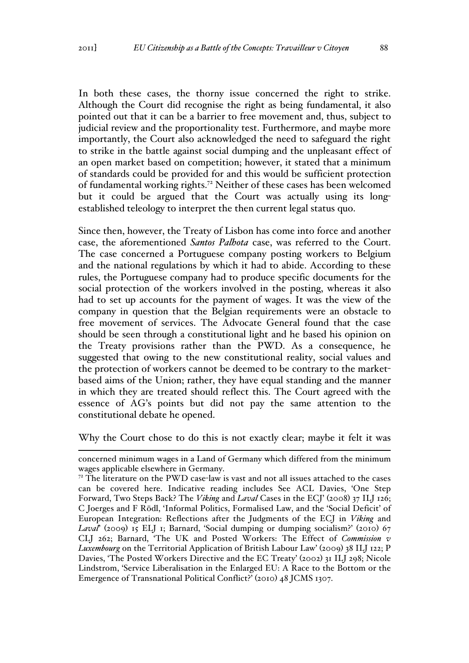In both these cases, the thorny issue concerned the right to strike. Although the Court did recognise the right as being fundamental, it also pointed out that it can be a barrier to free movement and, thus, subject to judicial review and the proportionality test. Furthermore, and maybe more importantly, the Court also acknowledged the need to safeguard the right to strike in the battle against social dumping and the unpleasant effect of an open market based on competition; however, it stated that a minimum of standards could be provided for and this would be sufficient protection of fundamental working rights.<sup>72</sup> Neither of these cases has been welcomed but it could be argued that the Court was actually using its longestablished teleology to interpret the then current legal status quo.

Since then, however, the Treaty of Lisbon has come into force and another case, the aforementioned *Santos Palhota* case, was referred to the Court. The case concerned a Portuguese company posting workers to Belgium and the national regulations by which it had to abide. According to these rules, the Portuguese company had to produce specific documents for the social protection of the workers involved in the posting, whereas it also had to set up accounts for the payment of wages. It was the view of the company in question that the Belgian requirements were an obstacle to free movement of services. The Advocate General found that the case should be seen through a constitutional light and he based his opinion on the Treaty provisions rather than the PWD. As a consequence, he suggested that owing to the new constitutional reality, social values and the protection of workers cannot be deemed to be contrary to the marketbased aims of the Union; rather, they have equal standing and the manner in which they are treated should reflect this. The Court agreed with the essence of AG's points but did not pay the same attention to the constitutional debate he opened.

Why the Court chose to do this is not exactly clear; maybe it felt it was

concerned minimum wages in a Land of Germany which differed from the minimum wages applicable elsewhere in Germany.

 $7<sup>2</sup>$  The literature on the PWD case-law is vast and not all issues attached to the cases can be covered here. Indicative reading includes See ACL Davies, 'One Step Forward, Two Steps Back? The *Viking* and *Laval* Cases in the ECJ' (2008) 37 ILJ 126; C Joerges and F Rödl, 'Informal Politics, Formalised Law, and the 'Social Deficit' of European Integration: Reflections after the Judgments of the ECJ in *Viking* and Laval<sup>'</sup> (2009) 15 ELJ 1; Barnard, 'Social dumping or dumping socialism?' (2010) 67 CLJ 262; Barnard, 'The UK and Posted Workers: The Effect of *Commission v Luxembourg* on the Territorial Application of British Labour Law' (2009) 38 ILJ 122; P Davies, 'The Posted Workers Directive and the EC Treaty' (2002) 31 ILJ 298; Nicole Lindstrom, 'Service Liberalisation in the Enlarged EU: A Race to the Bottom or the Emergence of Transnational Political Conflict?' (2010) 48 JCMS 1307.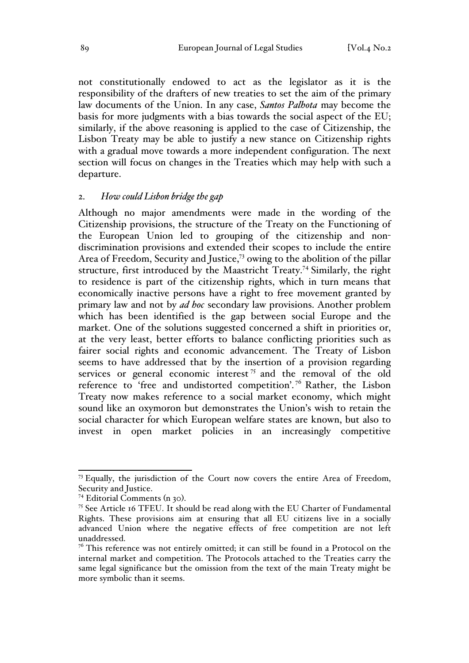not constitutionally endowed to act as the legislator as it is the responsibility of the drafters of new treaties to set the aim of the primary law documents of the Union. In any case, *Santos Palhota* may become the basis for more judgments with a bias towards the social aspect of the EU; similarly, if the above reasoning is applied to the case of Citizenship, the Lisbon Treaty may be able to justify a new stance on Citizenship rights with a gradual move towards a more independent configuration. The next section will focus on changes in the Treaties which may help with such a departure.

### 2. *How could Lisbon bridge the gap*

Although no major amendments were made in the wording of the Citizenship provisions, the structure of the Treaty on the Functioning of the European Union led to grouping of the citizenship and nondiscrimination provisions and extended their scopes to include the entire Area of Freedom, Security and Justice,73 owing to the abolition of the pillar structure, first introduced by the Maastricht Treaty.<sup>74</sup> Similarly, the right to residence is part of the citizenship rights, which in turn means that economically inactive persons have a right to free movement granted by primary law and not by *ad hoc* secondary law provisions. Another problem which has been identified is the gap between social Europe and the market. One of the solutions suggested concerned a shift in priorities or, at the very least, better efforts to balance conflicting priorities such as fairer social rights and economic advancement. The Treaty of Lisbon seems to have addressed that by the insertion of a provision regarding services or general economic interest  $75$  and the removal of the old reference to 'free and undistorted competition'.<sup>76</sup> Rather, the Lisbon Treaty now makes reference to a social market economy, which might sound like an oxymoron but demonstrates the Union's wish to retain the social character for which European welfare states are known, but also to invest in open market policies in an increasingly competitive

 $73$  Equally, the jurisdiction of the Court now covers the entire Area of Freedom, Security and Justice.<br><sup>74</sup> Editorial Comments (n 30).

<sup>&</sup>lt;sup>75</sup> See Article 16 TFEU. It should be read along with the EU Charter of Fundamental Rights. These provisions aim at ensuring that all EU citizens live in a socially advanced Union where the negative effects of free competition are not left unaddressed.

 $7<sup>6</sup>$  This reference was not entirely omitted; it can still be found in a Protocol on the internal market and competition. The Protocols attached to the Treaties carry the same legal significance but the omission from the text of the main Treaty might be more symbolic than it seems.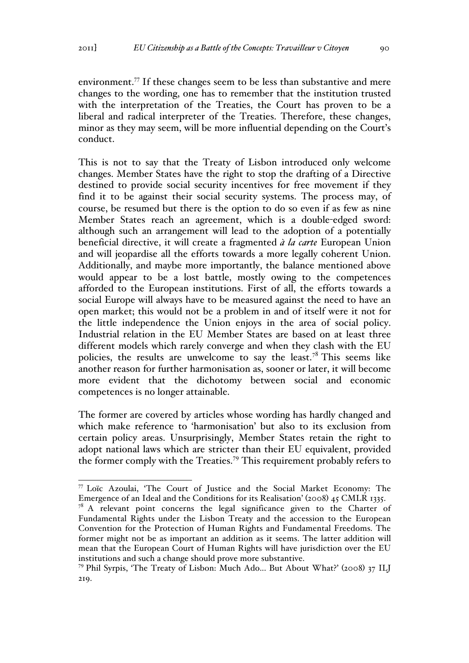environment.<sup>77</sup> If these changes seem to be less than substantive and mere changes to the wording, one has to remember that the institution trusted with the interpretation of the Treaties, the Court has proven to be a liberal and radical interpreter of the Treaties. Therefore, these changes, minor as they may seem, will be more influential depending on the Court's conduct.

This is not to say that the Treaty of Lisbon introduced only welcome changes. Member States have the right to stop the drafting of a Directive destined to provide social security incentives for free movement if they find it to be against their social security systems. The process may, of course, be resumed but there is the option to do so even if as few as nine Member States reach an agreement, which is a double-edged sword: although such an arrangement will lead to the adoption of a potentially beneficial directive, it will create a fragmented *à la carte* European Union and will jeopardise all the efforts towards a more legally coherent Union. Additionally, and maybe more importantly, the balance mentioned above would appear to be a lost battle, mostly owing to the competences afforded to the European institutions. First of all, the efforts towards a social Europe will always have to be measured against the need to have an open market; this would not be a problem in and of itself were it not for the little independence the Union enjoys in the area of social policy. Industrial relation in the EU Member States are based on at least three different models which rarely converge and when they clash with the EU policies, the results are unwelcome to say the least.<sup>78</sup> This seems like another reason for further harmonisation as, sooner or later, it will become more evident that the dichotomy between social and economic competences is no longer attainable.

The former are covered by articles whose wording has hardly changed and which make reference to 'harmonisation' but also to its exclusion from certain policy areas. Unsurprisingly, Member States retain the right to adopt national laws which are stricter than their EU equivalent, provided the former comply with the Treaties.<sup>79</sup> This requirement probably refers to

 <sup>77</sup> Loïc Azoulai, 'The Court of Justice and the Social Market Economy: The Emergence of an Ideal and the Conditions for its Realisation' (2008) 45 CMLR 1335.

 $7^8$  A relevant point concerns the legal significance given to the Charter of Fundamental Rights under the Lisbon Treaty and the accession to the European Convention for the Protection of Human Rights and Fundamental Freedoms. The former might not be as important an addition as it seems. The latter addition will mean that the European Court of Human Rights will have jurisdiction over the EU institutions and such a change should prove more substantive.

<sup>79</sup> Phil Syrpis, 'The Treaty of Lisbon: Much Ado... But About What?' (2008) 37 ILJ 219.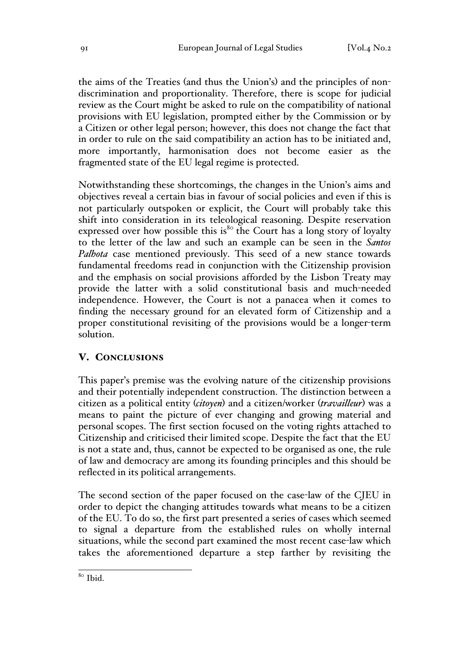the aims of the Treaties (and thus the Union's) and the principles of nondiscrimination and proportionality. Therefore, there is scope for judicial review as the Court might be asked to rule on the compatibility of national provisions with EU legislation, prompted either by the Commission or by a Citizen or other legal person; however, this does not change the fact that in order to rule on the said compatibility an action has to be initiated and, more importantly, harmonisation does not become easier as the fragmented state of the EU legal regime is protected.

Notwithstanding these shortcomings, the changes in the Union's aims and objectives reveal a certain bias in favour of social policies and even if this is not particularly outspoken or explicit, the Court will probably take this shift into consideration in its teleological reasoning. Despite reservation expressed over how possible this is<sup>80</sup> the Court has a long story of loyalty to the letter of the law and such an example can be seen in the *Santos Palhota* case mentioned previously. This seed of a new stance towards fundamental freedoms read in conjunction with the Citizenship provision and the emphasis on social provisions afforded by the Lisbon Treaty may provide the latter with a solid constitutional basis and much-needed independence. However, the Court is not a panacea when it comes to finding the necessary ground for an elevated form of Citizenship and a proper constitutional revisiting of the provisions would be a longer-term solution.

# V. CONCLUSIONS

This paper's premise was the evolving nature of the citizenship provisions and their potentially independent construction. The distinction between a citizen as a political entity (*citoyen*) and a citizen/worker (*travailleur*) was a means to paint the picture of ever changing and growing material and personal scopes. The first section focused on the voting rights attached to Citizenship and criticised their limited scope. Despite the fact that the EU is not a state and, thus, cannot be expected to be organised as one, the rule of law and democracy are among its founding principles and this should be reflected in its political arrangements.

The second section of the paper focused on the case-law of the CJEU in order to depict the changing attitudes towards what means to be a citizen of the EU. To do so, the first part presented a series of cases which seemed to signal a departure from the established rules on wholly internal situations, while the second part examined the most recent case-law which takes the aforementioned departure a step farther by revisiting the

 <sup>80</sup> Ibid.